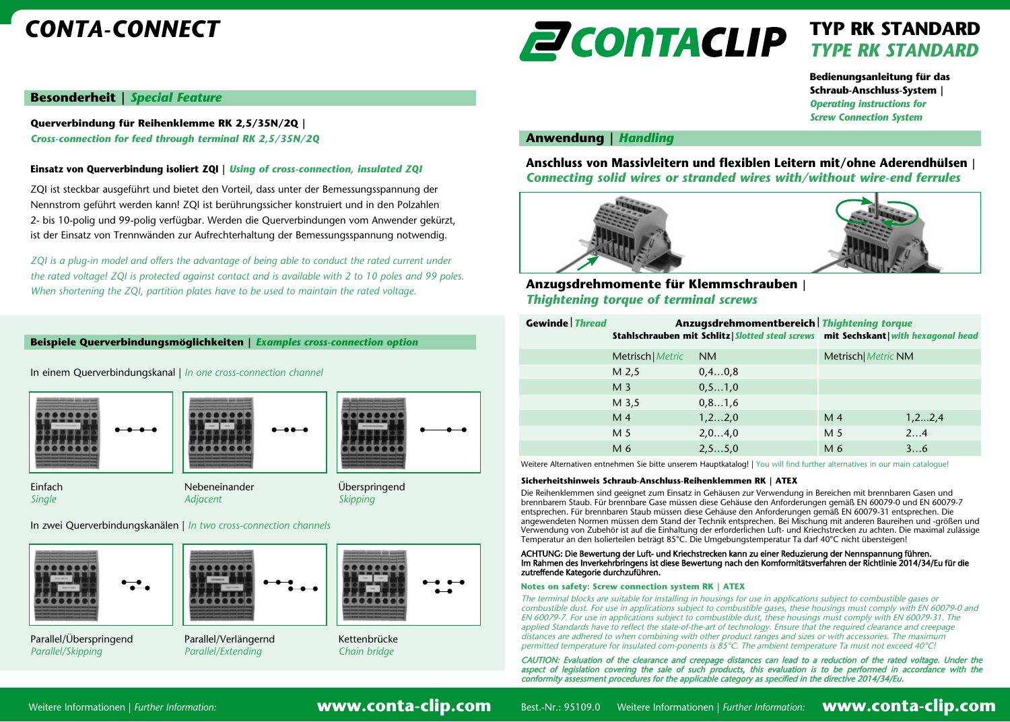# *CONTA-CONNECT*

# **ZCONTACLIP**

# **TYP RK STANDARD** *TYPE RK STANDARD*

**Bedienungsanleitung für das Schraub-Anschluss-System |**  *Operating instructions for Screw Connection System*

## **Besonderheit |** *Special Feature*

**Querverbindung für Reihenklemme RK 2,5/35N/2Q |**  *Cross-connection for feed through terminal RK 2,5/35N/2Q*

## **Einsatz von Querverbindung isoliert ZQI |** *Using of cross-connection, insulated ZQI*

ZQI ist steckbar ausgeführt und bietet den Vorteil, dass unter der Bemessungsspannung der Nennstrom geführt werden kann! ZQI ist berührungssicher konstruiert und in den Polzahlen 2- bis 10-polig und 99-polig verfügbar. Werden die Querverbindungen vom Anwender gekürzt, ist der Einsatz von Trennwänden zur Aufrechterhaltung der Bemessungsspannung notwendig.

*ZQI* is a plug-in model and offers the advantage of being able to conduct the rated current under *the rated voltage! ZQI is protected against contact and is available with 2 to 10 poles and 99 poles. When shortening the ZQI, partition plates have to be used to maintain the rated voltage.*

#### **Beispiele Querverbindungsmöglichkeiten |** *Examples cross-connection option*

In einem Querverbindungskanal | *In one cross-connection channel*







Einfach Nebeneinander Überspringend *Single Adjacent Skipping*

In zwei Querverbindungskanälen | *In two cross-connection channels*



*Parallel/Skipping Parallel/Extending Chain bridge*

## **Anwendung |** *Handling*

**Anschluss von Massivleitern und flexiblen Leitern mit/ohne Aderendhülsen |** *Connecting solid wires or stranded wires with/without wire-end ferrules*



# **Anzugsdrehmomente für Klemmschrauben |** *Thightening torque of terminal screws*

| <b>Gewinde Thread</b> | Anzugsdrehmomentbereich Thightening torque<br>Stahlschrauben mit Schlitz   Slotted steal screws mit Sechskant   with hexagonal head |           |                     |          |
|-----------------------|-------------------------------------------------------------------------------------------------------------------------------------|-----------|---------------------|----------|
|                       |                                                                                                                                     |           |                     |          |
|                       | Metrisch   Metric                                                                                                                   | <b>NM</b> | Metrisch  Metric NM |          |
|                       | M 2,5                                                                                                                               | 0, 40, 8  |                     |          |
|                       | M <sub>3</sub>                                                                                                                      | 0, 51, 0  |                     |          |
|                       | M 3,5                                                                                                                               | 0, 81, 6  |                     |          |
|                       | M <sub>4</sub>                                                                                                                      | 1, 2 2, 0 | M <sub>4</sub>      | 1, 22, 4 |
|                       | M 5                                                                                                                                 | 2,04,0    | M 5                 | 24       |
|                       | M 6                                                                                                                                 | 2, 55, 0  | M 6                 | 36       |

Weitere Alternativen entnehmen Sie bitte unserem Hauptkatalog! | You will find further alternatives in our main catalogue!

#### **Sicherheitshinweis Schraub-Anschluss-Reihenklemmen RK | ATEX**

Die Reihenklemmen sind geeignet zum Einsatz in Gehäusen zur Verwendung in Bereichen mit brennbaren Gasen und brennbarem Staub. Für brennbare Gase müssen diese Gehäuse den Anforderungen gemäß EN 60079-0 und EN 60079-7 entsprechen. Für brennbaren Staub müssen diese Gehäuse den Anforderungen gemäß EN 60079-31 entsprechen. Die angewendeten Normen müssen dem Stand der Technik entsprechen. Bei Mischung mit anderen Baureihen und -größen und Verwendung von Zubehör ist auf die Einhaltung der erforderlichen Luft- und Kriechstrecken zu achten. Die maximal zulässige Temperatur an den Isolierteilen beträgt 85°C. Die Umgebungstemperatur Ta darf 40°C nicht übersteigen!

#### ACHTUNG: Die Bewertung der Luft- und Kriechstrecken kann zu einer Reduzierung der Nennspannung führen. Im Rahmen des Inverkehrbringens ist diese Bewertung nach den Komformitätsverfahren der Richtlinie 2014/34/Eu für die zutreffende Kategorie durchzuführen.

#### **Notes on safety: Screw connection system RK | ATEX**

The terminal blocks are suitable for installing in housings for use in applications subject to combustible gases or combustible dust. For use in applications subject to combustible gases, these housings must comply with EN 60079-0 and EN 60079-7. For use in applications subject to combustible dust, these housings must comply with EN 60079-31. The applied Standards have to reflect the state-of-the-art of technology. Ensure that the required clearance and creepage distances are adhered to when combining with other product ranges and sizes or with accessories. The maximum permitted temperature for insulated com-ponents is 85°C. The ambient temperature Ta must not exceed 40°C!

CAUTION: Evaluation of the clearance and creepage distances can lead to a reduction of the rated voltage. Under the<br>aspect of legislation covering the sale of such products, this evaluation is to be performed in accordance

Weitere Informationen | *Further Information:* **www.conta-clip.com**

Best.-Nr.: 95109.0 Weitere Informationen | *Further Information:* WWW.CONta-clip.com